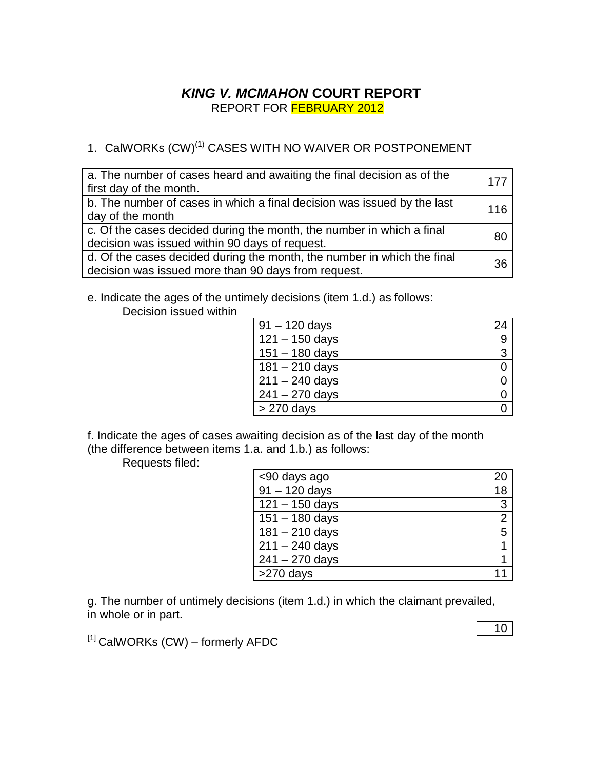## *KING V. MCMAHON* **COURT REPORT** REPORT FOR FEBRUARY 2012

# 1. CalWORKs (CW)<sup>(1)</sup> CASES WITH NO WAIVER OR POSTPONEMENT

| a. The number of cases heard and awaiting the final decision as of the<br>first day of the month.                              | 177 |
|--------------------------------------------------------------------------------------------------------------------------------|-----|
| b. The number of cases in which a final decision was issued by the last<br>day of the month                                    | 116 |
| c. Of the cases decided during the month, the number in which a final<br>decision was issued within 90 days of request.        | 80  |
| d. Of the cases decided during the month, the number in which the final<br>decision was issued more than 90 days from request. | 36  |

e. Indicate the ages of the untimely decisions (item 1.d.) as follows: Decision issued within

| $91 - 120$ days  | 24 |
|------------------|----|
| $121 - 150$ days | 9  |
| $151 - 180$ days | 3  |
| $181 - 210$ days |    |
| $211 - 240$ days |    |
| $241 - 270$ days |    |
| > 270 days       |    |

f. Indicate the ages of cases awaiting decision as of the last day of the month (the difference between items 1.a. and 1.b.) as follows:

Requests filed:

| <90 days ago     | 20             |
|------------------|----------------|
| $91 - 120$ days  | 18             |
| $121 - 150$ days | 3              |
| $151 - 180$ days | $\overline{2}$ |
| $181 - 210$ days | 5              |
| $211 - 240$ days |                |
| $241 - 270$ days |                |
| >270 days        |                |

g. The number of untimely decisions (item 1.d.) in which the claimant prevailed, in whole or in part.

 $[1]$  CalWORKs (CW) – formerly AFDC

10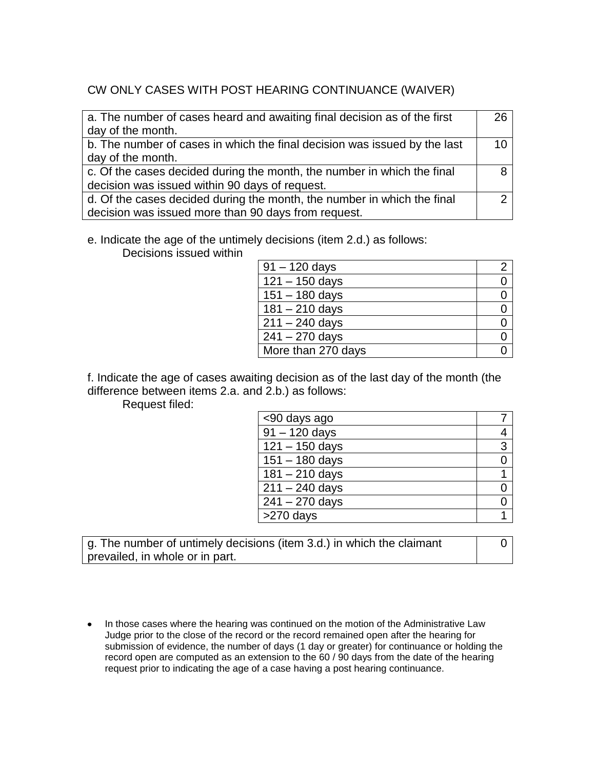## CW ONLY CASES WITH POST HEARING CONTINUANCE (WAIVER)

| a. The number of cases heard and awaiting final decision as of the first  | 26 |
|---------------------------------------------------------------------------|----|
| day of the month.                                                         |    |
| b. The number of cases in which the final decision was issued by the last |    |
| day of the month.                                                         |    |
| c. Of the cases decided during the month, the number in which the final   |    |
| decision was issued within 90 days of request.                            |    |
| d. Of the cases decided during the month, the number in which the final   |    |
| decision was issued more than 90 days from request.                       |    |

### e. Indicate the age of the untimely decisions (item 2.d.) as follows:

Decisions issued within

| $91 - 120$ days    |  |
|--------------------|--|
| $121 - 150$ days   |  |
| $151 - 180$ days   |  |
| $181 - 210$ days   |  |
| $211 - 240$ days   |  |
| $241 - 270$ days   |  |
| More than 270 days |  |

f. Indicate the age of cases awaiting decision as of the last day of the month (the difference between items 2.a. and 2.b.) as follows:

Request filed:

| <90 days ago              |   |
|---------------------------|---|
| $\frac{1}{91} - 120$ days |   |
| $121 - 150$ days          | 3 |
| $151 - 180$ days          |   |
| $181 - 210$ days          |   |
| $211 - 240$ days          |   |
| $241 - 270$ days          |   |
| $>270$ days               |   |

g. The number of untimely decisions (item 3.d.) in which the claimant prevailed, in whole or in part.

0

• In those cases where the hearing was continued on the motion of the Administrative Law Judge prior to the close of the record or the record remained open after the hearing for submission of evidence, the number of days (1 day or greater) for continuance or holding the record open are computed as an extension to the 60 / 90 days from the date of the hearing request prior to indicating the age of a case having a post hearing continuance.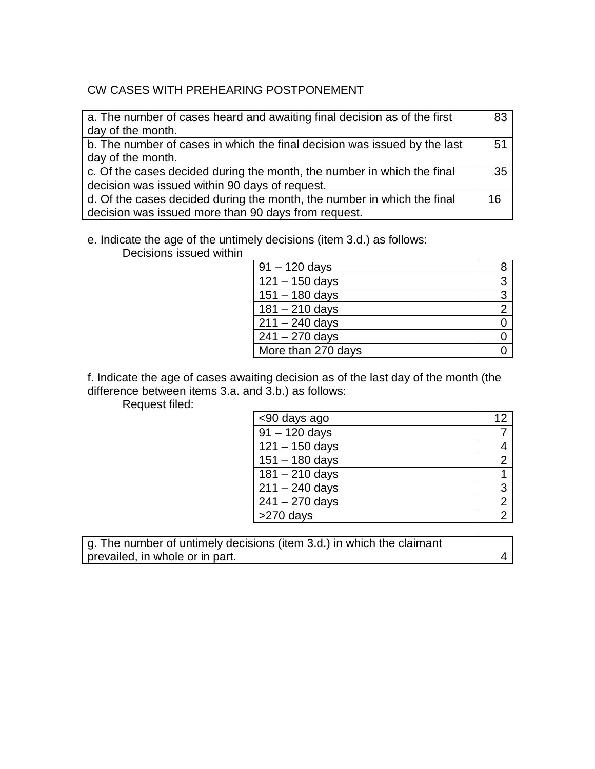## CW CASES WITH PREHEARING POSTPONEMENT

| a. The number of cases heard and awaiting final decision as of the first  | 83 |
|---------------------------------------------------------------------------|----|
| day of the month.                                                         |    |
| b. The number of cases in which the final decision was issued by the last | 51 |
| day of the month.                                                         |    |
| c. Of the cases decided during the month, the number in which the final   | 35 |
| decision was issued within 90 days of request.                            |    |
| d. Of the cases decided during the month, the number in which the final   | 16 |
| decision was issued more than 90 days from request.                       |    |

e. Indicate the age of the untimely decisions (item 3.d.) as follows:

Decisions issued within

| $91 - 120$ days    | 8 |
|--------------------|---|
| $121 - 150$ days   | 3 |
| $151 - 180$ days   | 3 |
| $181 - 210$ days   | 2 |
| $211 - 240$ days   |   |
| $241 - 270$ days   |   |
| More than 270 days |   |

f. Indicate the age of cases awaiting decision as of the last day of the month (the difference between items 3.a. and 3.b.) as follows:

Request filed:

| <90 days ago     | 12             |
|------------------|----------------|
| $91 - 120$ days  |                |
| $121 - 150$ days |                |
| $151 - 180$ days | 2              |
| $181 - 210$ days |                |
| $211 - 240$ days | 3              |
| $241 - 270$ days | $\overline{2}$ |
| >270 days        | $\mathfrak{p}$ |

g. The number of untimely decisions (item 3.d.) in which the claimant prevailed, in whole or in part. 4